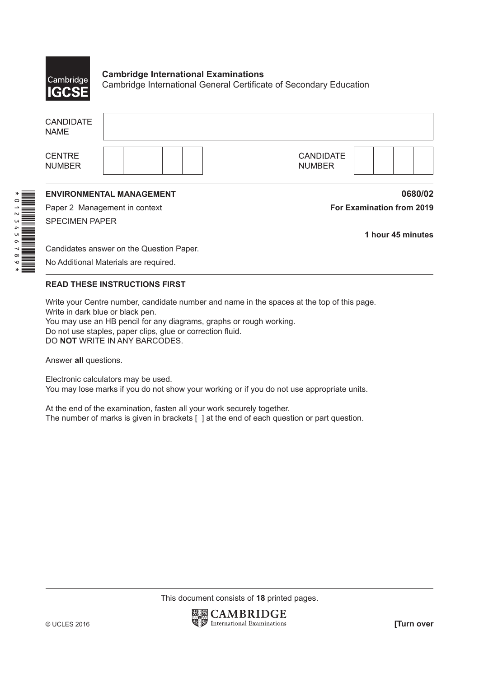

\*0123456789\*

**Cambridge International Examinations** Cambridge International General Certificate of Secondary Education

| <b>CANDIDATE</b><br><b>NAME</b> |                                          |                                   |                                  |
|---------------------------------|------------------------------------------|-----------------------------------|----------------------------------|
| <b>CENTRE</b><br><b>NUMBER</b>  |                                          | <b>CANDIDATE</b><br><b>NUMBER</b> |                                  |
|                                 | <b>ENVIRONMENTAL MANAGEMENT</b>          |                                   | 0680/02                          |
|                                 | Paper 2 Management in context            |                                   | <b>For Examination from 2019</b> |
| <b>SPECIMEN PAPER</b>           |                                          |                                   |                                  |
|                                 |                                          |                                   | 1 hour 45 minutes                |
|                                 | Candidates answer on the Question Paper. |                                   |                                  |
|                                 | No Additional Materials are required.    |                                   |                                  |

## **READ THESE INSTRUCTIONS FIRST**

Write your Centre number, candidate number and name in the spaces at the top of this page. Write in dark blue or black pen. You may use an HB pencil for any diagrams, graphs or rough working. Do not use staples, paper clips, glue or correction fluid. DO **NOT** WRITE IN ANY BARCODES.

Answer **all** questions.

Electronic calculators may be used. You may lose marks if you do not show your working or if you do not use appropriate units.

At the end of the examination, fasten all your work securely together. The number of marks is given in brackets [ ] at the end of each question or part question.

This document consists of **18** printed pages.

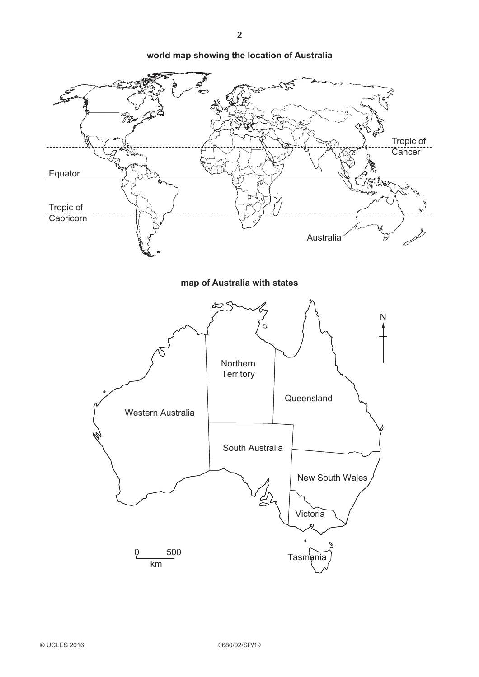## **world map showing the location of Australia**

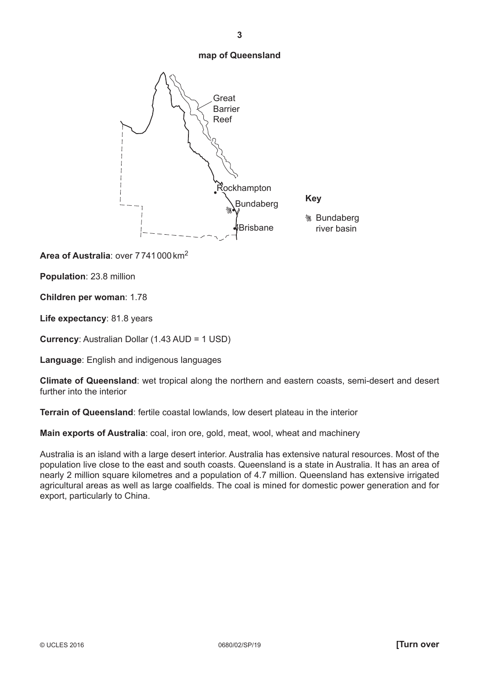## **map of Queensland**



**Area of Australia**: over 7 741 000 km<sup>2</sup>

**Population**: 23.8 million

**Children per woman**: 1.78

**Life expectancy**: 81.8 years

**Currency**: Australian Dollar (1.43 AUD = 1 USD)

**Language**: English and indigenous languages

**Climate of Queensland**: wet tropical along the northern and eastern coasts, semi-desert and desert further into the interior

**Terrain of Queensland**: fertile coastal lowlands, low desert plateau in the interior

**Main exports of Australia**: coal, iron ore, gold, meat, wool, wheat and machinery

Australia is an island with a large desert interior. Australia has extensive natural resources. Most of the population live close to the east and south coasts. Queensland is a state in Australia. It has an area of nearly 2 million square kilometres and a population of 4.7 million. Queensland has extensive irrigated agricultural areas as well as large coalfields. The coal is mined for domestic power generation and for export, particularly to China.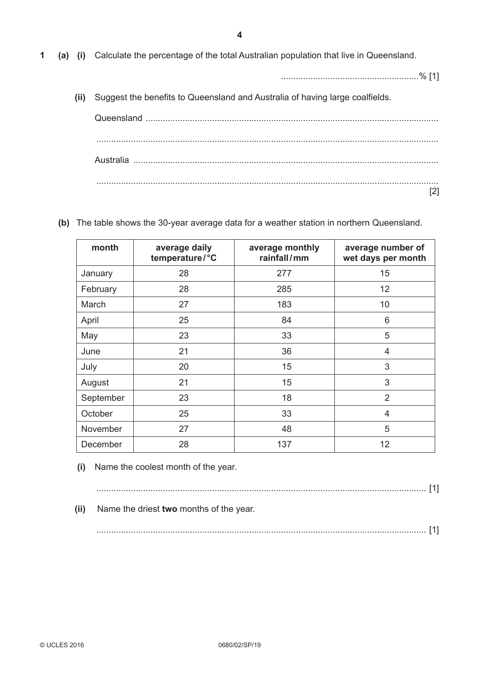**4**

**1 (a) (i)** Calculate the percentage of the total Australian population that live in Queensland.

........................................................% [1]

 **(ii)** Suggest the benefits to Queensland and Australia of having large coalfields.

Queensland ....................................................................................................................... ........................................................................................................................................... Australia ............................................................................................................................ ........................................................................................................................................... [2]

 **(b)** The table shows the 30-year average data for a weather station in northern Queensland.

| month     | average daily<br>temperature/°C | average monthly<br>rainfall/mm | average number of<br>wet days per month |
|-----------|---------------------------------|--------------------------------|-----------------------------------------|
| January   | 28                              | 277                            | 15                                      |
| February  | 28                              | 285                            | 12                                      |
| March     | 27                              | 183                            | 10                                      |
| April     | 25                              | 84                             | 6                                       |
| May       | 23                              | 33                             | 5                                       |
| June      | 21                              | 36                             | $\overline{4}$                          |
| July      | 20                              | 15                             | 3                                       |
| August    | 21                              | 15                             | 3                                       |
| September | 23                              | 18                             | 2                                       |
| October   | 25                              | 33                             | $\overline{4}$                          |
| November  | 27                              | 48                             | 5                                       |
| December  | 28                              | 137                            | 12                                      |

 **(i)** Name the coolest month of the year.

...................................................................................................................................... [1]

 **(ii)** Name the driest **two** months of the year.

...................................................................................................................................... [1]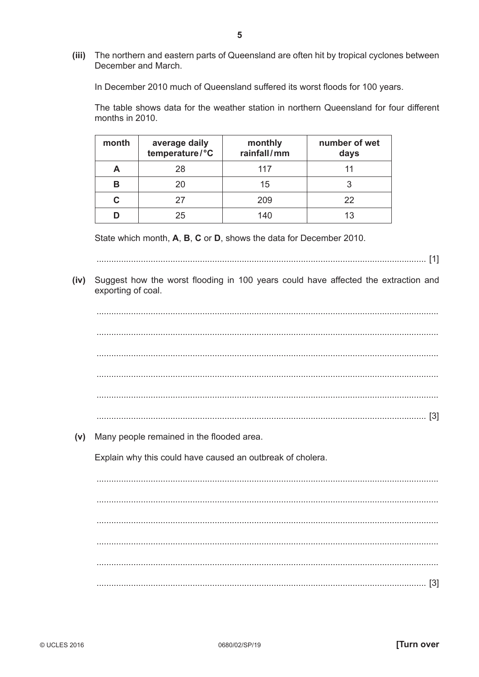The northern and eastern parts of Queensland are often hit by tropical cyclones between  $(iii)$ December and March.

In December 2010 much of Queensland suffered its worst floods for 100 years.

The table shows data for the weather station in northern Queensland for four different months in 2010.

| month | average daily<br>temperature/°C | monthly<br>rainfall/mm | number of wet<br>days |
|-------|---------------------------------|------------------------|-----------------------|
|       | 28                              | 117                    |                       |
| в     | 20                              | 15                     |                       |
|       | 27                              | 209                    | 22                    |
|       | 25                              | 140                    | 13                    |

State which month, A, B, C or D, shows the data for December 2010.

 $(iv)$ Suggest how the worst flooding in 100 years could have affected the extraction and exporting of coal.

(v) Many people remained in the flooded area. Explain why this could have caused an outbreak of cholera.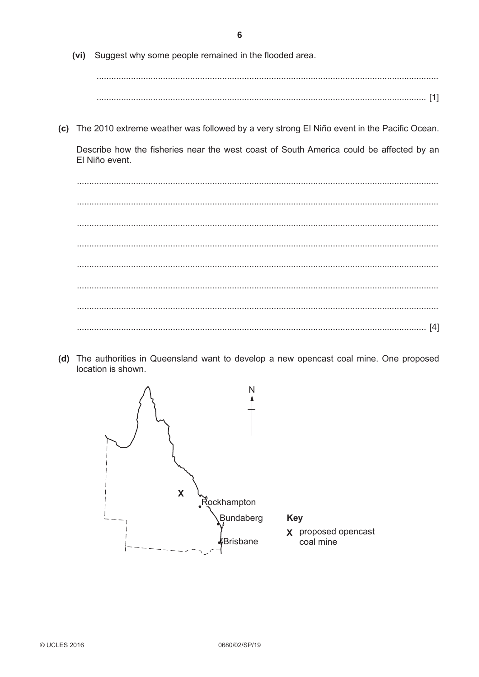(vi) Suggest why some people remained in the flooded area.

(c) The 2010 extreme weather was followed by a very strong El Niño event in the Pacific Ocean.

Describe how the fisheries near the west coast of South America could be affected by an El Niño event.

(d) The authorities in Queensland want to develop a new opencast coal mine. One proposed location is shown.

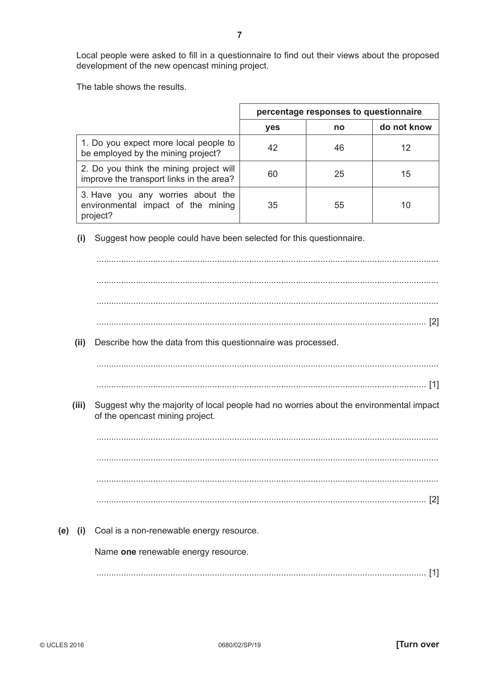Local people were asked to fill in a questionnaire to find out their views about the proposed development of the new opencast mining project.

The table shows the results.

|                                                                                     | percentage responses to questionnaire |    |             |
|-------------------------------------------------------------------------------------|---------------------------------------|----|-------------|
|                                                                                     | yes                                   | no | do not know |
| 1. Do you expect more local people to<br>be employed by the mining project?         | 42                                    | 46 | 12          |
| 2. Do you think the mining project will<br>improve the transport links in the area? | 60                                    | 25 | 15          |
| 3. Have you any worries about the<br>environmental impact of the mining<br>project? | 35                                    | 55 | 10          |

 **(i)** Suggest how people could have been selected for this questionnaire.

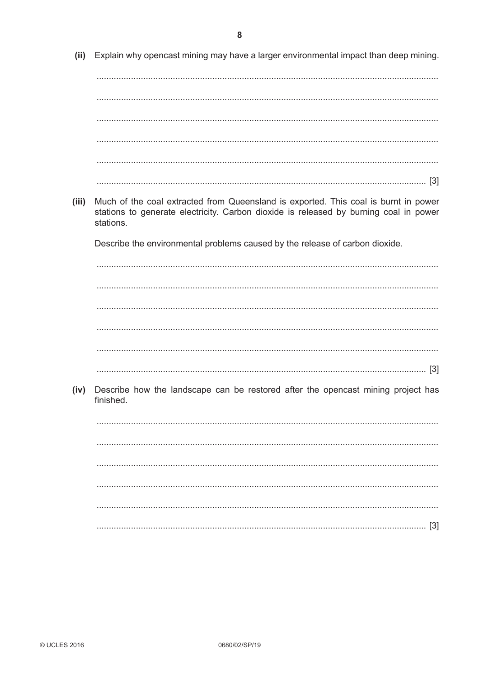8  $(ii)$ Explain why opencast mining may have a larger environmental impact than deep mining.  $(iii)$ Much of the coal extracted from Queensland is exported. This coal is burnt in power stations to generate electricity. Carbon dioxide is released by burning coal in power stations. Describe the environmental problems caused by the release of carbon dioxide.  $(iv)$ Describe how the landscape can be restored after the opencast mining project has finished.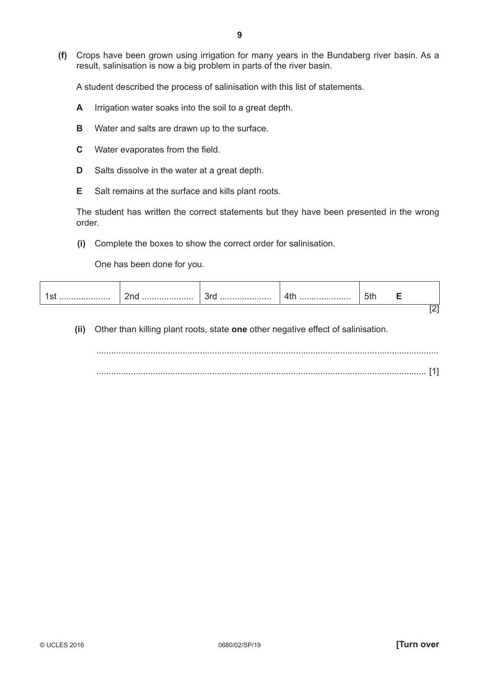**(f)** Crops have been grown using irrigation for many years in the Bundaberg river basin. As a result, salinisation is now a big problem in parts of the river basin.

A student described the process of salinisation with this list of statements.

- **A** Irrigation water soaks into the soil to a great depth.
- **B** Water and salts are drawn up to the surface.
- **C** Water evaporates from the field.
- **D** Salts dissolve in the water at a great depth.
- **E** Salt remains at the surface and kills plant roots.

The student has written the correct statements but they have been presented in the wrong order.

 **(i)** Complete the boxes to show the correct order for salinisation.

One has been done for you.

| ີ | $\leftarrow$<br> | יש<br>. | 1. O<br><b>ALI</b><br>- | ៴៶៲៲ | $\overline{\phantom{0}}$ |     |
|---|------------------|---------|-------------------------|------|--------------------------|-----|
|   |                  |         |                         |      |                          | --- |

 **(ii)** Other than killing plant roots, state **one** other negative effect of salinisation.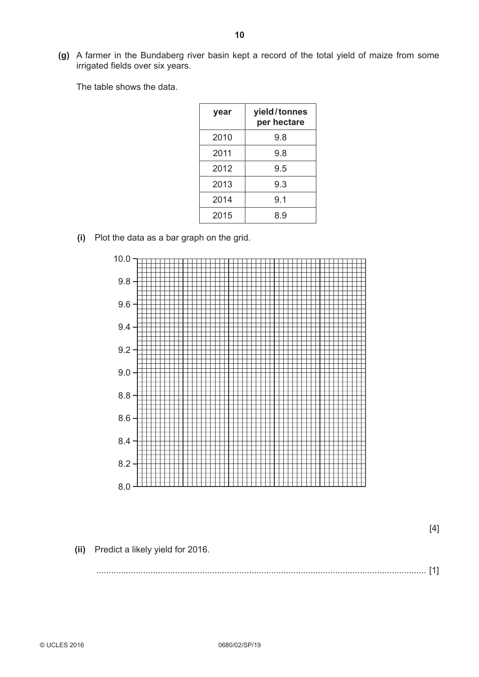**(g)** A farmer in the Bundaberg river basin kept a record of the total yield of maize from some irrigated fields over six years.

The table shows the data.

| year | yield/tonnes<br>per hectare |
|------|-----------------------------|
| 2010 | 9.8                         |
| 2011 | 9.8                         |
| 2012 | 9.5                         |
| 2013 | 9.3                         |
| 2014 | 9.1                         |
| 2015 | 8.9                         |

 **(i)** Plot the data as a bar graph on the grid.



 **(ii)** Predict a likely yield for 2016.

[4]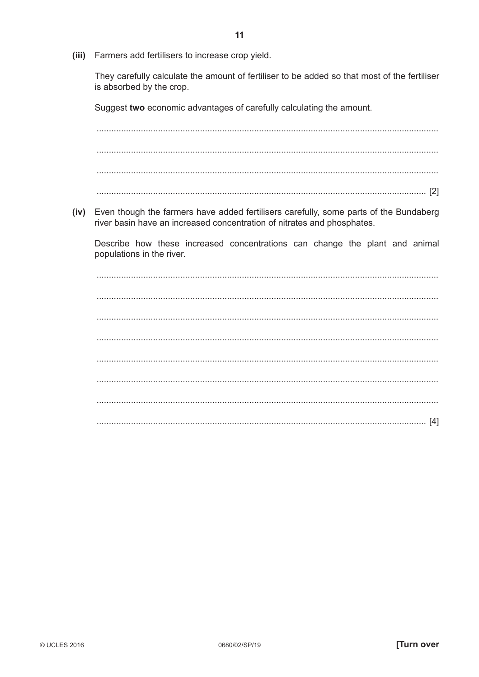(iii) Farmers add fertilisers to increase crop yield.

They carefully calculate the amount of fertiliser to be added so that most of the fertiliser is absorbed by the crop.

Suggest two economic advantages of carefully calculating the amount.

(iv) Even though the farmers have added fertilisers carefully, some parts of the Bundaberg river basin have an increased concentration of nitrates and phosphates.

Describe how these increased concentrations can change the plant and animal populations in the river.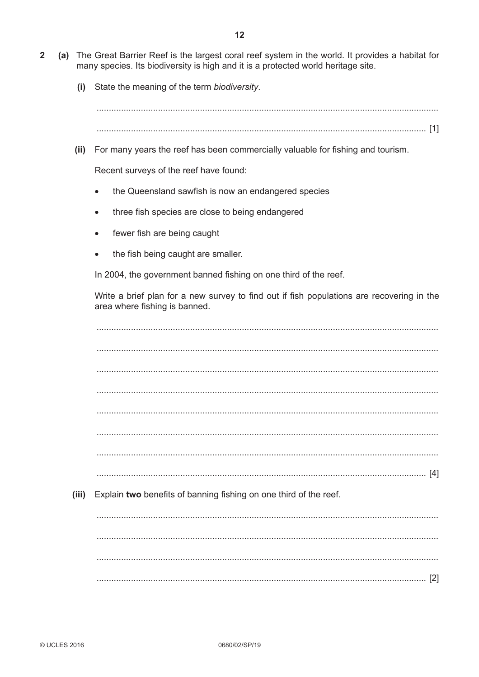$\overline{2}$ (a) The Great Barrier Reef is the largest coral reef system in the world. It provides a habitat for many species. Its biodiversity is high and it is a protected world heritage site.

 $12$ 

State the meaning of the term biodiversity.  $(i)$ 

(ii) For many years the reef has been commercially valuable for fishing and tourism.

Recent surveys of the reef have found:

- the Queensland sawfish is now an endangered species
- three fish species are close to being endangered
- fewer fish are being caught
- the fish being caught are smaller.

In 2004, the government banned fishing on one third of the reef.

Write a brief plan for a new survey to find out if fish populations are recovering in the area where fishing is banned.

Explain two benefits of banning fishing on one third of the reef.  $(iii)$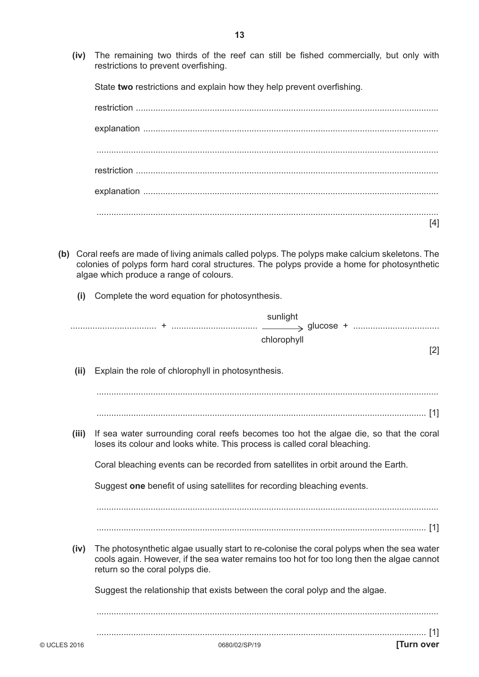**(iv)** The remaining two thirds of the reef can still be fished commercially, but only with restrictions to prevent overfishing.

State **two** restrictions and explain how they help prevent overfishing.

restriction ........................................................................................................................... explanation ........................................................................................................................ ........................................................................................................................................... restriction ........................................................................................................................... explanation ........................................................................................................................ ........................................................................................................................................... [4]

- **(b)** Coral reefs are made of living animals called polyps. The polyps make calcium skeletons. The colonies of polyps form hard coral structures. The polyps provide a home for photosynthetic algae which produce a range of colours.
	- **(i)** Complete the word equation for photosynthesis.

|       | sunlight<br>chlorophyll<br>[2]                                                                                                                                                                                            |
|-------|---------------------------------------------------------------------------------------------------------------------------------------------------------------------------------------------------------------------------|
| (ii)  | Explain the role of chlorophyll in photosynthesis.                                                                                                                                                                        |
|       |                                                                                                                                                                                                                           |
| (iii) | If sea water surrounding coral reefs becomes too hot the algae die, so that the coral<br>loses its colour and looks white. This process is called coral bleaching.                                                        |
|       | Coral bleaching events can be recorded from satellites in orbit around the Earth.                                                                                                                                         |
|       | Suggest one benefit of using satellites for recording bleaching events.                                                                                                                                                   |
|       |                                                                                                                                                                                                                           |
|       |                                                                                                                                                                                                                           |
| (iv)  | The photosynthetic algae usually start to re-colonise the coral polyps when the sea water<br>cools again. However, if the sea water remains too hot for too long then the algae cannot<br>return so the coral polyps die. |
|       | Suggest the relationship that exists between the coral polyp and the algae.                                                                                                                                               |
|       |                                                                                                                                                                                                                           |
|       |                                                                                                                                                                                                                           |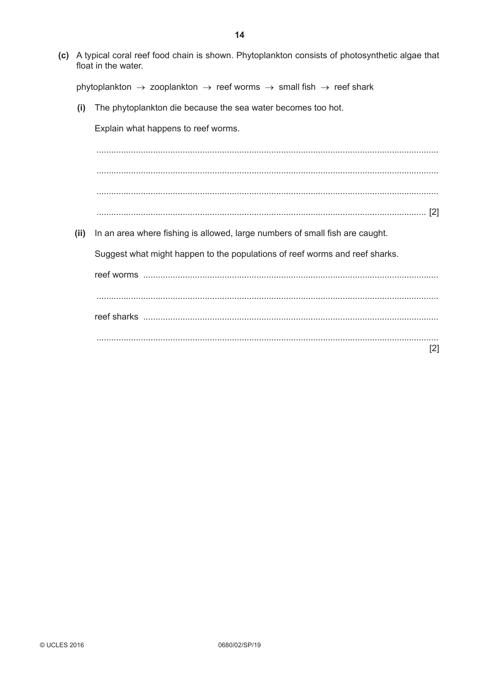(c) A typical coral reef food chain is shown. Phytoplankton consists of photosynthetic algae that float in the water.

phytoplankton  $\rightarrow$  zooplankton  $\rightarrow$  reef worms  $\rightarrow$  small fish  $\rightarrow$  reef shark

 $(i)$ The phytoplankton die because the sea water becomes too hot.

Explain what happens to reef worms.

(ii) In an area where fishing is allowed, large numbers of small fish are caught. Suggest what might happen to the populations of reef worms and reef sharks.  $[2]$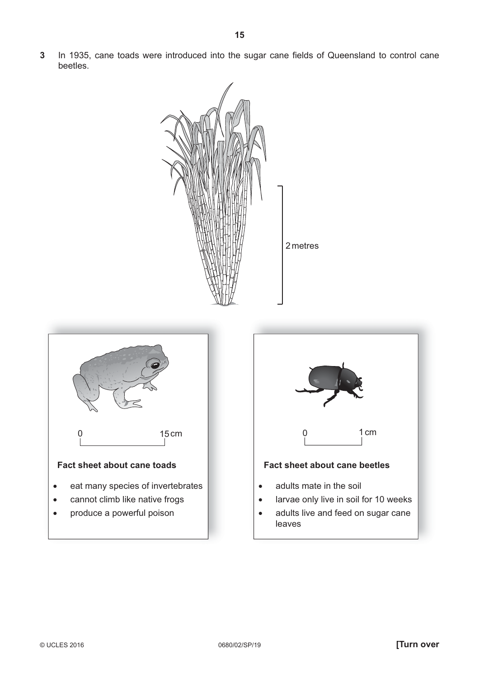**3** In 1935, cane toads were introduced into the sugar cane fields of Queensland to control cane beetles.

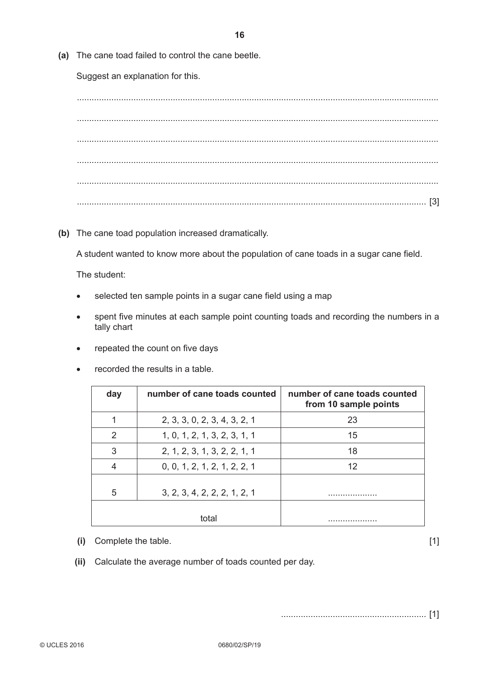**(a)** The cane toad failed to control the cane beetle.

Suggest an explanation for this.

 ................................................................................................................................................... ................................................................................................................................................... ................................................................................................................................................... ................................................................................................................................................... ................................................................................................................................................... .............................................................................................................................................. [3]

 **(b)** The cane toad population increased dramatically.

A student wanted to know more about the population of cane toads in a sugar cane field.

The student:

- selected ten sample points in a sugar cane field using a map
- spent five minutes at each sample point counting toads and recording the numbers in a tally chart
- repeated the count on five days
- recorded the results in a table.

| day           | number of cane toads counted | number of cane toads counted<br>from 10 sample points |
|---------------|------------------------------|-------------------------------------------------------|
|               | 2, 3, 3, 0, 2, 3, 4, 3, 2, 1 | 23                                                    |
| $\mathcal{P}$ | 1, 0, 1, 2, 1, 3, 2, 3, 1, 1 | 15                                                    |
| 3             | 2, 1, 2, 3, 1, 3, 2, 2, 1, 1 | 18                                                    |
| 4             | 0, 0, 1, 2, 1, 2, 1, 2, 2, 1 | 12                                                    |
| 5             | 3, 2, 3, 4, 2, 2, 2, 1, 2, 1 |                                                       |
|               | total                        |                                                       |

- **(i)** Complete the table. [1]
- 

 **(ii)** Calculate the average number of toads counted per day.

........................................................... [1]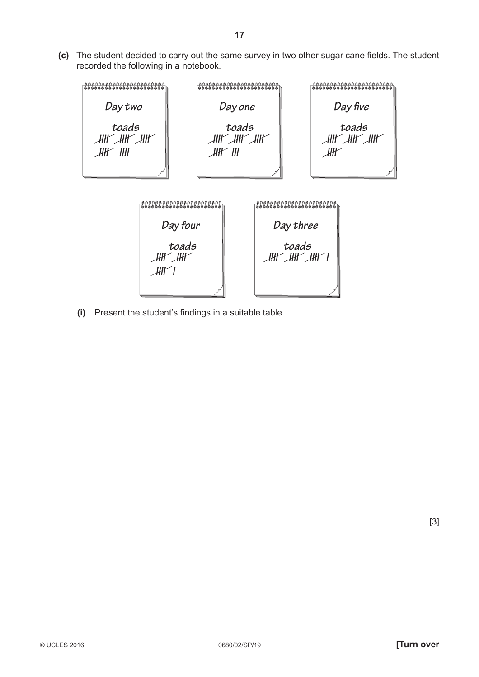**(c)** The student decided to carry out the same survey in two other sugar cane fields. The student recorded the following in a notebook.



 **(i)** Present the student's findings in a suitable table.